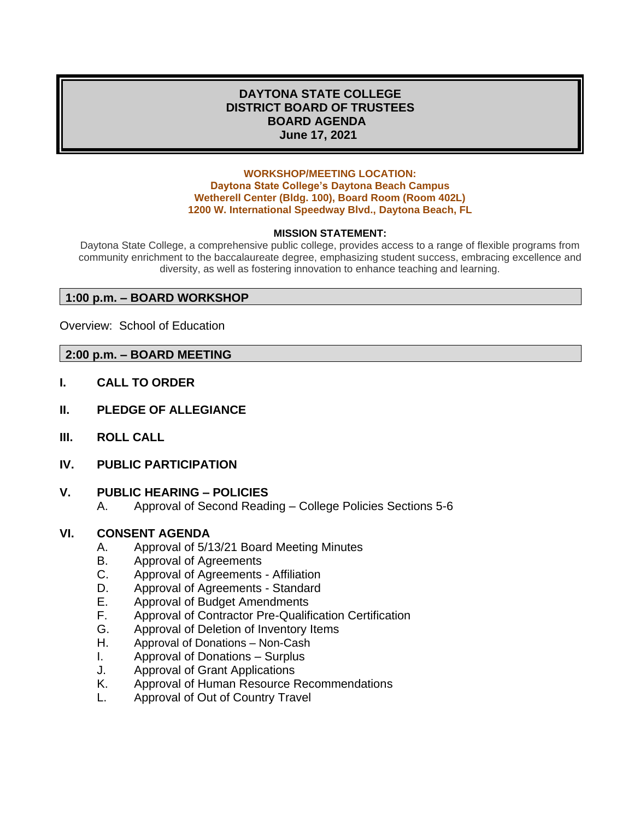#### **DAYTONA STATE COLLEGE DISTRICT BOARD OF TRUSTEES BOARD AGENDA June 17, 2021**

#### **WORKSHOP/MEETING LOCATION: Daytona State College's Daytona Beach Campus Wetherell Center (Bldg. 100), Board Room (Room 402L) 1200 W. International Speedway Blvd., Daytona Beach, FL**

#### **MISSION STATEMENT:**

Daytona State College, a comprehensive public college, provides access to a range of flexible programs from community enrichment to the baccalaureate degree, emphasizing student success, embracing excellence and diversity, as well as fostering innovation to enhance teaching and learning.

#### **1:00 p.m. – BOARD WORKSHOP**

Overview: School of Education

#### **2:00 p.m. – BOARD MEETING**

- **I. CALL TO ORDER**
- **II. PLEDGE OF ALLEGIANCE**
- **III. ROLL CALL**
- **IV. PUBLIC PARTICIPATION**

#### **V. PUBLIC HEARING – POLICIES**

A. Approval of Second Reading – College Policies Sections 5-6

#### **VI. CONSENT AGENDA**

- A. Approval of 5/13/21 Board Meeting Minutes
- B. Approval of Agreements
- C. Approval of Agreements Affiliation
- D. Approval of Agreements Standard
- E. Approval of Budget Amendments
- F. Approval of Contractor Pre-Qualification Certification
- G. Approval of Deletion of Inventory Items
- H. Approval of Donations Non-Cash
- I. Approval of Donations Surplus
- J. Approval of Grant Applications
- K. Approval of Human Resource Recommendations
- L. Approval of Out of Country Travel